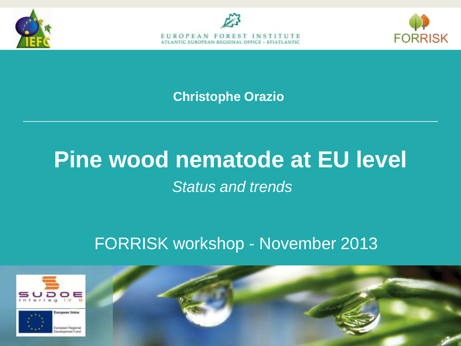





**Christophe Orazio**

## **Pine wood nematode at EU level** *Status and trends*

#### FORRISK workshop - November 2013

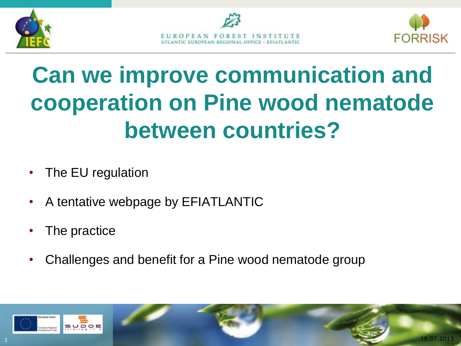





# **Can we improve communication and cooperation on Pine wood nematode between countries?**

- The EU regulation
- A tentative webpage by EFIATLANTIC
- The practice
- Challenges and benefit for a Pine wood nematode group

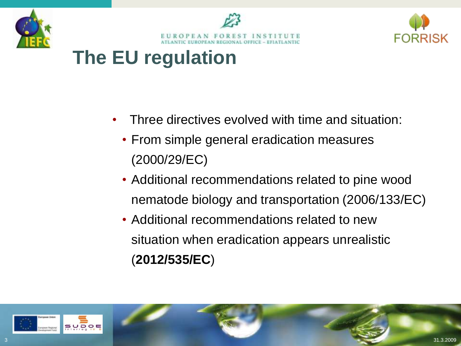





#### **The EU regulation**

- Three directives evolved with time and situation:
	- From simple general eradication measures (2000/29/EC)
	- Additional recommendations related to pine wood nematode biology and transportation (2006/133/EC)
	- Additional recommendations related to new situation when eradication appears unrealistic (**2012/535/EC**)

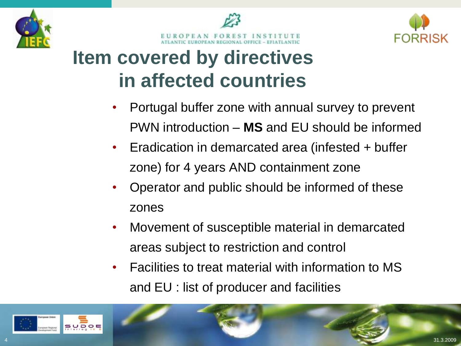





#### **Item covered by directives in affected countries**

- Portugal buffer zone with annual survey to prevent PWN introduction – **MS** and EU should be informed
- Eradication in demarcated area (infested + buffer zone) for 4 years AND containment zone
- Operator and public should be informed of these zones
- Movement of susceptible material in demarcated areas subject to restriction and control
- Facilities to treat material with information to MS and EU : list of producer and facilities

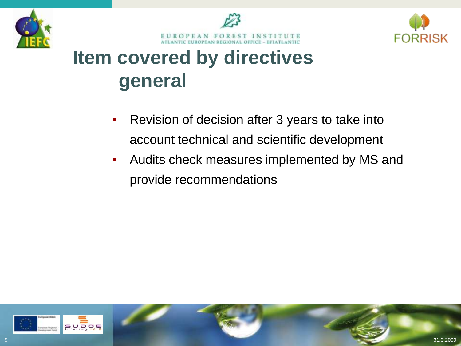



**FORRISK** 

## **Item covered by directives general**

- Revision of decision after 3 years to take into account technical and scientific development
- Audits check measures implemented by MS and provide recommendations

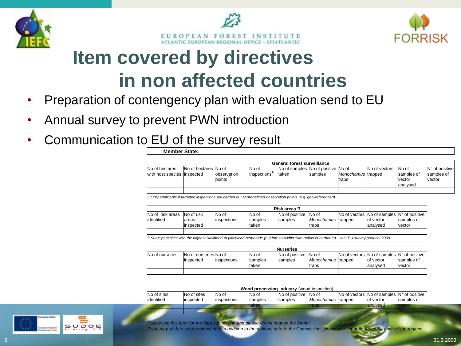





#### **Item covered by directives in non affected countries**

- Preparation of contengency plan with evaluation send to EU
- Annual survey to prevent PWN introduction

**Member State:**

• Communication to EU of the survey result

|                                                | <b>General forest surveillance</b> |                         |                        |                                                          |         |                             |               |                                            |                                          |  |  |  |
|------------------------------------------------|------------------------------------|-------------------------|------------------------|----------------------------------------------------------|---------|-----------------------------|---------------|--------------------------------------------|------------------------------------------|--|--|--|
| No of hectares<br>with host species linspected | No of hectares No of               | lobservation<br>lpoints | lNo of<br>linspections | No of samples No of positive No of<br><sup>I</sup> taken | samples | Monochamus trapped<br>traps | No of vectors | No of<br>samples of<br>vector<br>lanalysed | IN° of positive<br>samples of<br>lvector |  |  |  |
|                                                |                                    |                         |                        |                                                          |         |                             |               |                                            |                                          |  |  |  |

*1) Only applicable if targeted inspections are carried out at predefined observation points (e.g. geo-referenced)*

| Risk areas 2)                              |                      |                       |                                    |                                   |                                       |  |                                                                                                      |                      |  |  |
|--------------------------------------------|----------------------|-----------------------|------------------------------------|-----------------------------------|---------------------------------------|--|------------------------------------------------------------------------------------------------------|----------------------|--|--|
| No of risk areas No of risk<br>lidentified | lareas<br>linspected | No of<br>linspections | No of<br><b>Isamples</b><br>ltaken | No of positive<br><b>Isamples</b> | No of<br>Monochamus trapped<br>ltraps |  | $\vert$ No of vectors $\vert$ No of samples $\vert N^{\circ}$ of positive<br>lof vector<br>lanalysed | samples of<br>vector |  |  |
|                                            |                      |                       |                                    |                                   |                                       |  |                                                                                                      |                      |  |  |

*2) Surveys at sites with the highest likelihood of pinewood nematode (e.g.forests within 5km radius of harbours) - see EU survey protocol 2009*

| <b>Nurseries</b> |                        |              |                 |                 |                     |  |                                                                                      |            |  |  |  |
|------------------|------------------------|--------------|-----------------|-----------------|---------------------|--|--------------------------------------------------------------------------------------|------------|--|--|--|
| No of nurseries  | INo of nurseries No of |              | lNo of          | No of positive  | lNo of              |  | $\overline{N}$ No of vectors $\overline{N}$ No of samples $\overline{N}$ of positive |            |  |  |  |
|                  | linspected             | linspections | <b>Isamples</b> | <b>Isamples</b> | Monochamus Itrapped |  | lof vector                                                                           | samples of |  |  |  |
|                  |                        |              | ltaken          |                 | traps               |  | lanalysed                                                                            | vector     |  |  |  |
|                  |                        |              |                 |                 |                     |  |                                                                                      |            |  |  |  |

| Wood processing industry (wood inspection) |                           |                        |                           |                                         |                     |  |                                                                                                       |            |  |  |
|--------------------------------------------|---------------------------|------------------------|---------------------------|-----------------------------------------|---------------------|--|-------------------------------------------------------------------------------------------------------|------------|--|--|
| No of sites<br>lidentified                 | No of sites<br>linspected | lNo of<br>linspections | INo of<br><b>Isamples</b> | No of positive No of<br><b>Isamples</b> | Monochamus Itrapped |  | $\blacksquare$ No of vectors $\blacksquare$ No of samples $\blacksquare$ N° of positive<br>lof vector | samples of |  |  |
|                                            |                           |                        | taken                     |                                         | traps               |  | lanalysed                                                                                             | vector     |  |  |

*Please use this form for the data submission and please do not change the format.* 

*If you may wish to send regional data in addition to the national data to the Commission, please use separate forms for each of the regions*

SUDOE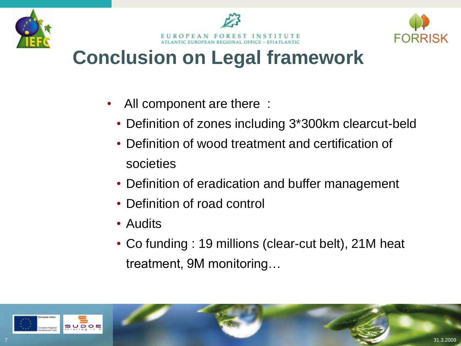





#### **Conclusion on Legal framework**

- All component are there :
	- Definition of zones including 3\*300km clearcut-beld
	- Definition of wood treatment and certification of societies
	- Definition of eradication and buffer management
	- Definition of road control
	- Audits
	- Co funding : 19 millions (clear-cut belt), 21M heat treatment, 9M monitoring…

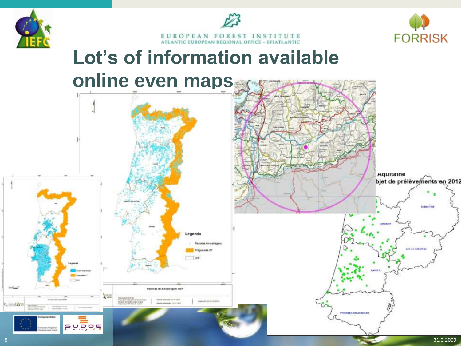





## **Lot's of information available online even maps**

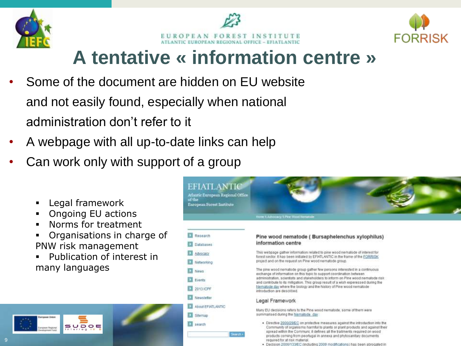





#### **A tentative « information centre »**

- Some of the document are hidden on EU website and not easily found, especially when national administration don't refer to it
- A webpage with all up-to-date links can help
- Can work only with support of a group
	- Legal framework
	- Ongoing EU actions

SUDOE

- **Norms for treatment**
- Organisations in charge of PNW risk management
- Publication of interest in many languages



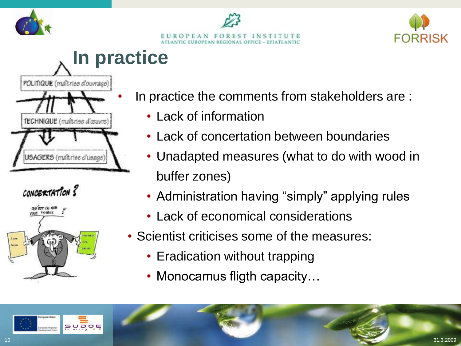





## **In practice**







- In practice the comments from stakeholders are :
	- Lack of information
	- Lack of concertation between boundaries
	- Unadapted measures (what to do with wood in buffer zones)
	- Administration having "simply" applying rules
	- Lack of economical considerations
- Scientist criticises some of the measures:
	- Eradication without trapping
	- Monocamus fligth capacity...

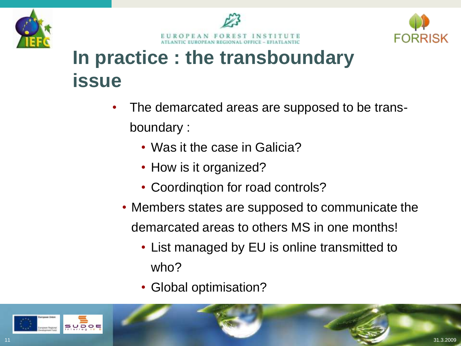





## **In practice : the transboundary issue**

- The demarcated areas are supposed to be transboundary :
	- Was it the case in Galicia?
	- How is it organized?
	- Coordinqtion for road controls?
	- Members states are supposed to communicate the demarcated areas to others MS in one months!
		- List managed by EU is online transmitted to who?
		- Global optimisation?

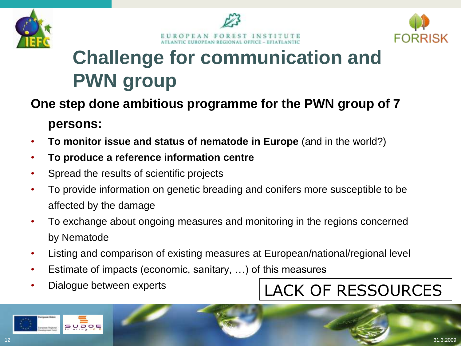





## **Challenge for communication and PWN group**

#### **One step done ambitious programme for the PWN group of 7 persons:**

- **To monitor issue and status of nematode in Europe** (and in the world?)
- **To produce a reference information centre**
- Spread the results of scientific projects
- To provide information on genetic breading and conifers more susceptible to be affected by the damage
- To exchange about ongoing measures and monitoring in the regions concerned by Nematode
- Listing and comparison of existing measures at European/national/regional level
- Estimate of impacts (economic, sanitary, …) of this measures
- Dialogue between experts

#### LACK OF RESSOURCES

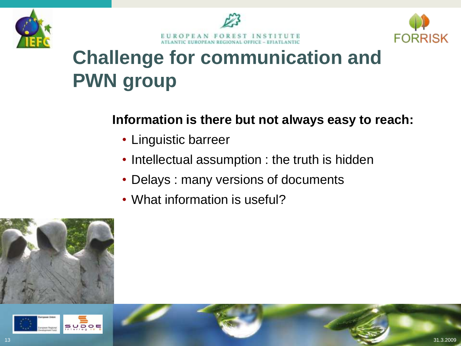





## **Challenge for communication and PWN group**

#### **Information is there but not always easy to reach:**

- Linguistic barreer
- Intellectual assumption : the truth is hidden
- Delays : many versions of documents
- What information is useful?



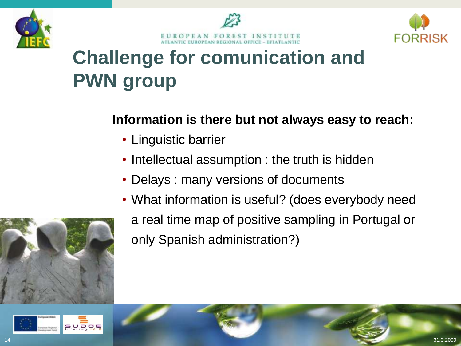





## **Challenge for comunication and PWN group**

#### **Information is there but not always easy to reach:**

- Linguistic barrier
- Intellectual assumption : the truth is hidden
- Delays : many versions of documents
- What information is useful? (does everybody need a real time map of positive sampling in Portugal or only Spanish administration?)